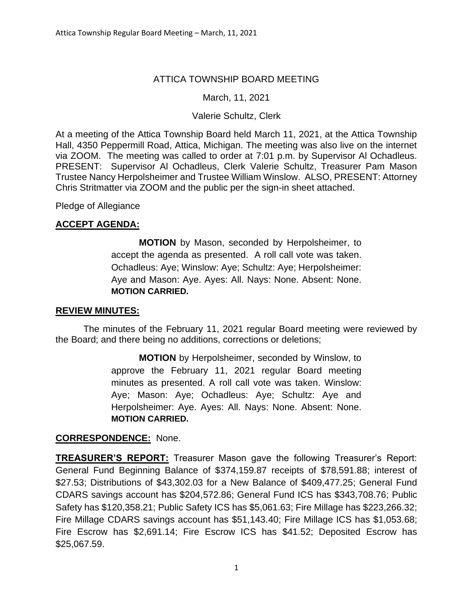## ATTICA TOWNSHIP BOARD MEETING

## March, 11, 2021

## Valerie Schultz, Clerk

At a meeting of the Attica Township Board held March 11, 2021, at the Attica Township Hall, 4350 Peppermill Road, Attica, Michigan. The meeting was also live on the internet via ZOOM. The meeting was called to order at 7:01 p.m. by Supervisor Al Ochadleus. PRESENT: Supervisor Al Ochadleus, Clerk Valerie Schultz, Treasurer Pam Mason Trustee Nancy Herpolsheimer and Trustee William Winslow. ALSO, PRESENT: Attorney Chris Stritmatter via ZOOM and the public per the sign-in sheet attached.

# Pledge of Allegiance

## **ACCEPT AGENDA:**

**MOTION** by Mason, seconded by Herpolsheimer, to accept the agenda as presented. A roll call vote was taken. Ochadleus: Aye; Winslow: Aye; Schultz: Aye; Herpolsheimer: Aye and Mason: Aye. Ayes: All. Nays: None. Absent: None. **MOTION CARRIED.**

## **REVIEW MINUTES:**

The minutes of the February 11, 2021 regular Board meeting were reviewed by the Board; and there being no additions, corrections or deletions;

> **MOTION** by Herpolsheimer, seconded by Winslow, to approve the February 11, 2021 regular Board meeting minutes as presented. A roll call vote was taken. Winslow: Aye; Mason: Aye; Ochadleus: Aye; Schultz: Aye and Herpolsheimer: Aye. Ayes: All. Nays: None. Absent: None. **MOTION CARRIED.**

## **CORRESPONDENCE:** None.

**TREASURER'S REPORT:** Treasurer Mason gave the following Treasurer's Report: General Fund Beginning Balance of \$374,159.87 receipts of \$78,591.88; interest of \$27.53; Distributions of \$43,302.03 for a New Balance of \$409,477.25; General Fund CDARS savings account has \$204,572.86; General Fund ICS has \$343,708.76; Public Safety has \$120,358.21; Public Safety ICS has \$5,061.63; Fire Millage has \$223,266.32; Fire Millage CDARS savings account has \$51,143.40; Fire Millage ICS has \$1,053.68; Fire Escrow has \$2,691.14; Fire Escrow ICS has \$41.52; Deposited Escrow has \$25,067.59.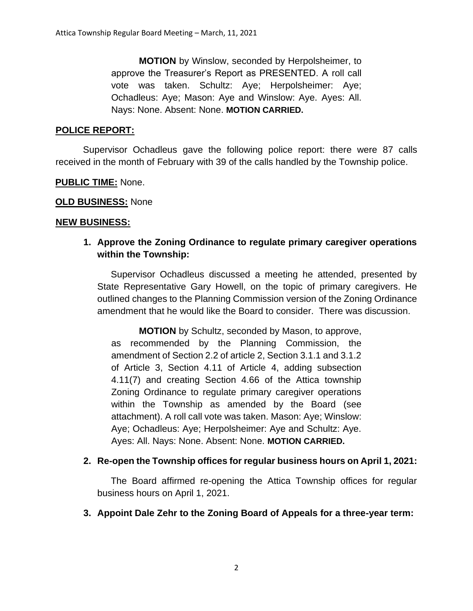**MOTION** by Winslow, seconded by Herpolsheimer, to approve the Treasurer's Report as PRESENTED. A roll call vote was taken. Schultz: Aye; Herpolsheimer: Aye; Ochadleus: Aye; Mason: Aye and Winslow: Aye. Ayes: All. Nays: None. Absent: None. **MOTION CARRIED.**

#### **POLICE REPORT:**

Supervisor Ochadleus gave the following police report: there were 87 calls received in the month of February with 39 of the calls handled by the Township police.

#### **PUBLIC TIME:** None.

#### **OLD BUSINESS:** None

#### **NEW BUSINESS:**

**1. Approve the Zoning Ordinance to regulate primary caregiver operations within the Township:**

Supervisor Ochadleus discussed a meeting he attended, presented by State Representative Gary Howell, on the topic of primary caregivers. He outlined changes to the Planning Commission version of the Zoning Ordinance amendment that he would like the Board to consider. There was discussion.

**MOTION** by Schultz, seconded by Mason, to approve, as recommended by the Planning Commission, the amendment of Section 2.2 of article 2, Section 3.1.1 and 3.1.2 of Article 3, Section 4.11 of Article 4, adding subsection 4.11(7) and creating Section 4.66 of the Attica township Zoning Ordinance to regulate primary caregiver operations within the Township as amended by the Board (see attachment). A roll call vote was taken. Mason: Aye; Winslow: Aye; Ochadleus: Aye; Herpolsheimer: Aye and Schultz: Aye. Ayes: All. Nays: None. Absent: None. **MOTION CARRIED.**

## **2. Re-open the Township offices for regular business hours on April 1, 2021:**

The Board affirmed re-opening the Attica Township offices for regular business hours on April 1, 2021.

## **3. Appoint Dale Zehr to the Zoning Board of Appeals for a three-year term:**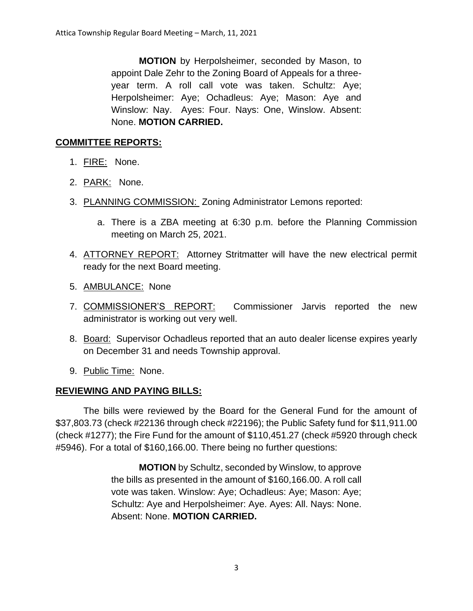**MOTION** by Herpolsheimer, seconded by Mason, to appoint Dale Zehr to the Zoning Board of Appeals for a threeyear term. A roll call vote was taken. Schultz: Aye; Herpolsheimer: Aye; Ochadleus: Aye; Mason: Aye and Winslow: Nay. Ayes: Four. Nays: One, Winslow. Absent: None. **MOTION CARRIED.**

## **COMMITTEE REPORTS:**

- 1. FIRE: None.
- 2. PARK: None.
- 3. PLANNING COMMISSION: Zoning Administrator Lemons reported:
	- a. There is a ZBA meeting at 6:30 p.m. before the Planning Commission meeting on March 25, 2021.
- 4. **ATTORNEY REPORT:** Attorney Stritmatter will have the new electrical permit ready for the next Board meeting.
- 5. AMBULANCE: None
- 7. COMMISSIONER'S REPORT: Commissioner Jarvis reported the new administrator is working out very well.
- 8. Board: Supervisor Ochadleus reported that an auto dealer license expires yearly on December 31 and needs Township approval.
- 9. Public Time: None.

## **REVIEWING AND PAYING BILLS:**

The bills were reviewed by the Board for the General Fund for the amount of \$37,803.73 (check #22136 through check #22196); the Public Safety fund for \$11,911.00 (check #1277); the Fire Fund for the amount of \$110,451.27 (check #5920 through check #5946). For a total of \$160,166.00. There being no further questions:

> **MOTION** by Schultz, seconded by Winslow, to approve the bills as presented in the amount of \$160,166.00. A roll call vote was taken. Winslow: Aye; Ochadleus: Aye; Mason: Aye; Schultz: Aye and Herpolsheimer: Aye. Ayes: All. Nays: None. Absent: None. **MOTION CARRIED.**